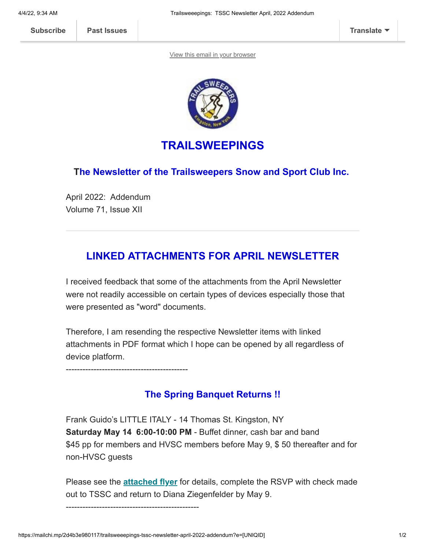[View this email in your browser](https://mailchi.mp/2d4b3e980117/trailsweeepings-tssc-newsletter-april-2022-addendum?e=[UNIQID])



## **TRAILSWEEPINGS**

#### **The Newsletter of the Trailsweepers Snow and Sport Club Inc.**

April 2022: Addendum Volume 71, Issue XII

# **LINKED ATTACHMENTS FOR APRIL NEWSLETTER**

I received feedback that some of the attachments from the April Newsletter were not readily accessible on certain types of devices especially those that were presented as "word" documents.

Therefore, I am resending the respective Newsletter items with linked attachments in PDF format which I hope can be opened by all regardless of device platform.

--------------------------------------------

### **The Spring Banquet Returns !!**

Frank Guido's LITTLE ITALY - 14 Thomas St. Kingston, NY **Saturday May 14 6:00-10:00 PM** - Buffet dinner, cash bar and band \$45 pp for members and HVSC members before May 9, \$ 50 thereafter and for non-HVSC guests

Please see the **[attached flyer](https://mcusercontent.com/12dc0f31cf0de42e0801b3e21/files/4f8afb8a-b001-a5e8-04e1-d9fd84053a64/TSSC_SpringBanquet.pdf)** for details, complete the RSVP with check made out to TSSC and return to Diana Ziegenfelder by May 9.

------------------------------------------------